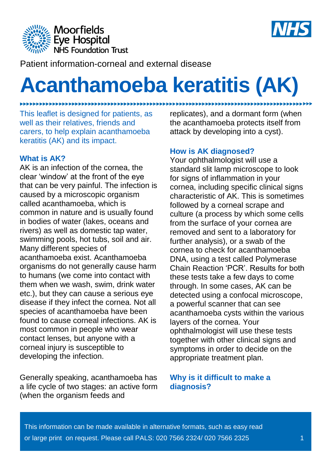



Patient information-corneal and external disease

# **Acanthamoeba keratitis (AK)**

This leaflet is designed for patients, as well as their relatives, friends and carers, to help explain acanthamoeba keratitis (AK) and its impact.

#### **What is AK?**

.....................

AK is an infection of the cornea, the clear 'window' at the front of the eye that can be very painful. The infection is caused by a microscopic organism called acanthamoeba, which is common in nature and is usually found in bodies of water (lakes, oceans and rivers) as well as domestic tap water, swimming pools, hot tubs, soil and air. Many different species of acanthamoeba exist. Acanthamoeba organisms do not generally cause harm to humans (we come into contact with them when we wash, swim, drink water etc.), but they can cause a serious eye disease if they infect the cornea. Not all species of acanthamoeba have been found to cause corneal infections. AK is most common in people who wear contact lenses, but anyone with a corneal injury is susceptible to developing the infection.

Generally speaking, acanthamoeba has a life cycle of two stages: an active form (when the organism feeds and

replicates), and a dormant form (when the acanthamoeba protects itself from attack by developing into a cyst).

## **How is AK diagnosed?**

Your ophthalmologist will use a standard slit lamp microscope to look for signs of inflammation in your cornea, including specific clinical signs characteristic of AK. This is sometimes followed by a corneal scrape and culture (a process by which some cells from the surface of your cornea are removed and sent to a laboratory for further analysis), or a swab of the cornea to check for acanthamoeba DNA, using a test called Polymerase Chain Reaction 'PCR'. Results for both these tests take a few days to come through. In some cases, AK can be detected using a confocal microscope, a powerful scanner that can see acanthamoeba cysts within the various layers of the cornea. Your ophthalmologist will use these tests together with other clinical signs and symptoms in order to decide on the appropriate treatment plan.

#### **Why is it difficult to make a diagnosis?**

This information can be made available in alternative formats, such as easy read or large print on request. Please call PALS: 020 7566 2324/ 020 7566 2325 1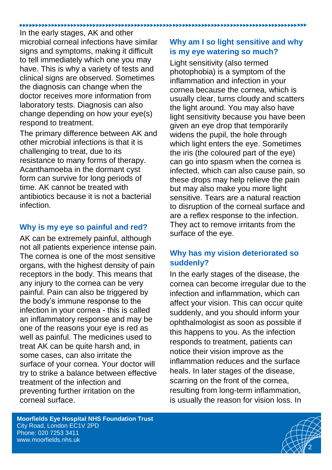In the early stages, AK and other microbial corneal infections have similar signs and symptoms, making it difficult to tell immediately which one you may have. This is why a variety of tests and clinical signs are observed. Sometimes the diagnosis can change when the doctor receives more information from laboratory tests. Diagnosis can also change depending on how your eye(s) respond to treatment.

The primary difference between AK and other microbial infections is that it is challenging to treat, due to its resistance to many forms of therapy. Acanthamoeba in the dormant cyst form can survive for long periods of time. AK cannot be treated with antibiotics because it is not a bacterial infection.

# **Why is my eye so painful and red?**

AK can be extremely painful, although not all patients experience intense pain. The cornea is one of the most sensitive organs, with the highest density of pain receptors in the body. This means that any injury to the cornea can be very painful. Pain can also be triggered by the body's immune response to the infection in your cornea - this is called an inflammatory response and may be one of the reasons your eye is red as well as painful. The medicines used to treat AK can be quite harsh and, in some cases, can also irritate the surface of your cornea. Your doctor will try to strike a balance between effective treatment of the infection and preventing further irritation on the corneal surface.

# **Why am I so light sensitive and why is my eye watering so much?**

Light sensitivity (also termed photophobia) is a symptom of the inflammation and infection in your cornea because the cornea, which is usually clear, turns cloudy and scatters the light around. You may also have light sensitivity because you have been given an eye drop that temporarily widens the pupil, the hole through which light enters the eye. Sometimes the iris (the coloured part of the eye) can go into spasm when the cornea is infected, which can also cause pain, so these drops may help relieve the pain but may also make you more light sensitive. Tears are a natural reaction to disruption of the corneal surface and are a reflex response to the infection. They act to remove irritants from the surface of the eye.

# **Why has my vision deteriorated so suddenly?**

In the early stages of the disease, the cornea can become irregular due to the infection and inflammation, which can affect your vision. This can occur quite suddenly, and you should inform your ophthalmologist as soon as possible if this happens to you. As the infection responds to treatment, patients can notice their vision improve as the inflammation reduces and the surface heals. In later stages of the disease, scarring on the front of the cornea, resulting from long-term inflammation, is usually the reason for vision loss. In

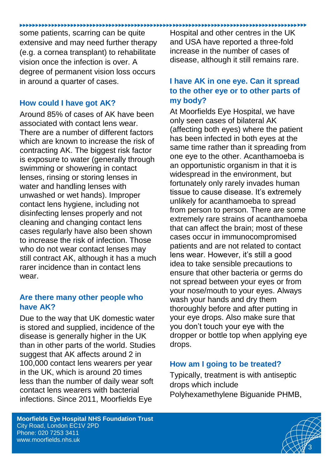some patients, scarring can be quite extensive and may need further therapy (e.g. a cornea transplant) to rehabilitate vision once the infection is over. A degree of permanent vision loss occurs in around a quarter of cases.

# **How could I have got AK?**

Around 85% of cases of AK have been associated with contact lens wear. There are a number of different factors which are known to increase the risk of contracting AK. The biggest risk factor is exposure to water (generally through swimming or showering in contact lenses, rinsing or storing lenses in water and handling lenses with unwashed or wet hands). Improper contact lens hygiene, including not disinfecting lenses properly and not cleaning and changing contact lens cases regularly have also been shown to increase the risk of infection. Those who do not wear contact lenses may still contract AK, although it has a much rarer incidence than in contact lens wear

## **Are there many other people who have AK?**

Due to the way that UK domestic water is stored and supplied, incidence of the disease is generally higher in the UK than in other parts of the world. Studies suggest that AK affects around 2 in 100,000 contact lens wearers per year in the UK, which is around 20 times less than the number of daily wear soft contact lens wearers with bacterial infections. Since 2011, Moorfields Eye

Hospital and other centres in the UK and USA have reported a three-fold increase in the number of cases of disease, although it still remains rare.

# **I have AK in one eye. Can it spread to the other eye or to other parts of my body?**

At Moorfields Eye Hospital, we have only seen cases of bilateral AK (affecting both eyes) where the patient has been infected in both eyes at the same time rather than it spreading from one eye to the other. Acanthamoeba is an opportunistic organism in that it is widespread in the environment, but fortunately only rarely invades human tissue to cause disease. It's extremely unlikely for acanthamoeba to spread from person to person. There are some extremely rare strains of acanthamoeba that can affect the brain; most of these cases occur in immunocompromised patients and are not related to contact lens wear. However, it's still a good idea to take sensible precautions to ensure that other bacteria or germs do not spread between your eyes or from your nose/mouth to your eyes. Always wash your hands and dry them thoroughly before and after putting in your eye drops. Also make sure that you don't touch your eye with the dropper or bottle top when applying eye drops.

# **How am I going to be treated?**

Typically, treatment is with antiseptic drops which include Polyhexamethylene Biguanide PHMB,

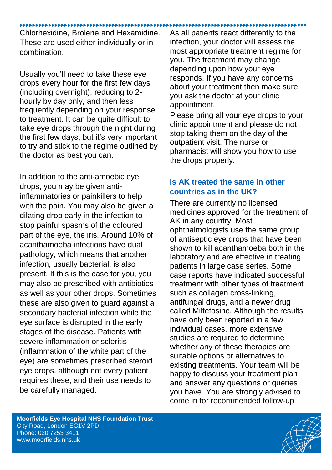#### 

Chlorhexidine, Brolene and Hexamidine. These are used either individually or in combination.

Usually you'll need to take these eye drops every hour for the first few days (including overnight), reducing to 2 hourly by day only, and then less frequently depending on your response to treatment. It can be quite difficult to take eye drops through the night during the first few days, but it's very important to try and stick to the regime outlined by the doctor as best you can.

In addition to the anti-amoebic eye drops, you may be given antiinflammatories or painkillers to help with the pain. You may also be given a dilating drop early in the infection to stop painful spasms of the coloured part of the eye, the iris. Around 10% of acanthamoeba infections have dual pathology, which means that another infection, usually bacterial, is also present. If this is the case for you, you may also be prescribed with antibiotics as well as your other drops. Sometimes these are also given to guard against a secondary bacterial infection while the eye surface is disrupted in the early stages of the disease. Patients with severe inflammation or scleritis (inflammation of the white part of the eye) are sometimes prescribed steroid eye drops, although not every patient requires these, and their use needs to be carefully managed.

As all patients react differently to the infection, your doctor will assess the most appropriate treatment regime for you. The treatment may change depending upon how your eye responds. If you have any concerns about your treatment then make sure you ask the doctor at your clinic appointment.

Please bring all your eye drops to your clinic appointment and please do not stop taking them on the day of the outpatient visit. The nurse or pharmacist will show you how to use the drops properly.

## **Is AK treated the same in other countries as in the UK?**

There are currently no licensed medicines approved for the treatment of AK in any country. Most ophthalmologists use the same group of antiseptic eye drops that have been shown to kill acanthamoeba both in the laboratory and are effective in treating patients in large case series. Some case reports have indicated successful treatment with other types of treatment such as collagen cross-linking, antifungal drugs, and a newer drug called Miltefosine. Although the results have only been reported in a few individual cases, more extensive studies are required to determine whether any of these therapies are suitable options or alternatives to existing treatments. Your team will be happy to discuss your treatment plan and answer any questions or queries you have. You are strongly advised to come in for recommended follow-up

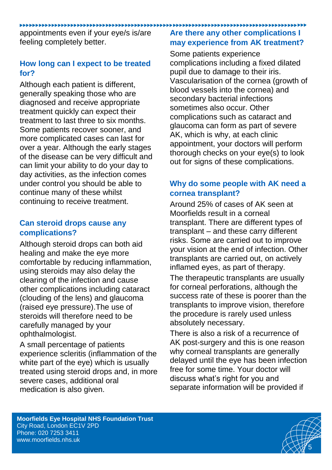appointments even if your eye/s is/are feeling completely better.

# **How long can I expect to be treated for?**

Although each patient is different, generally speaking those who are diagnosed and receive appropriate treatment quickly can expect their treatment to last three to six months. Some patients recover sooner, and more complicated cases can last for over a year. Although the early stages of the disease can be very difficult and can limit your ability to do your day to day activities, as the infection comes under control you should be able to continue many of these whilst continuing to receive treatment.

## **Can steroid drops cause any complications?**

Although steroid drops can both aid healing and make the eye more comfortable by reducing inflammation, using steroids may also delay the clearing of the infection and cause other complications including cataract (clouding of the lens) and glaucoma (raised eye pressure).The use of steroids will therefore need to be carefully managed by your ophthalmologist.

A small percentage of patients experience scleritis (inflammation of the white part of the eye) which is usually treated using steroid drops and, in more severe cases, additional oral medication is also given.

#### **Are there any other complications I may experience from AK treatment?**

Some patients experience complications including a fixed dilated pupil due to damage to their iris. Vascularisation of the cornea (growth of blood vessels into the cornea) and secondary bacterial infections sometimes also occur. Other complications such as cataract and glaucoma can form as part of severe AK, which is why, at each clinic appointment, your doctors will perform thorough checks on your eye(s) to look out for signs of these complications.

# **Why do some people with AK need a cornea transplant?**

Around 25% of cases of AK seen at Moorfields result in a corneal transplant. There are different types of transplant – and these carry different risks. Some are carried out to improve your vision at the end of infection. Other transplants are carried out, on actively inflamed eyes, as part of therapy.

The therapeutic transplants are usually for corneal perforations, although the success rate of these is poorer than the transplants to improve vision, therefore the procedure is rarely used unless absolutely necessary.

There is also a risk of a recurrence of AK post-surgery and this is one reason why corneal transplants are generally delayed until the eye has been infection free for some time. Your doctor will discuss what's right for you and separate information will be provided if

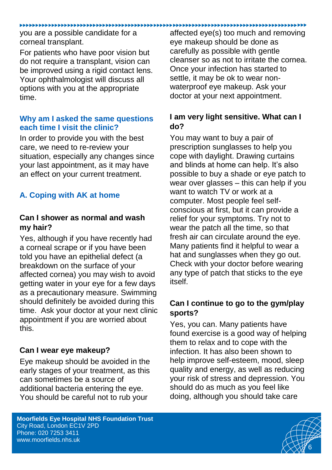#### you are a possible candidate for a corneal transplant.

For patients who have poor vision but do not require a transplant, vision can be improved using a rigid contact lens. Your ophthalmologist will discuss all options with you at the appropriate time.

# **Why am I asked the same questions each time I visit the clinic?**

In order to provide you with the best care, we need to re-review your situation, especially any changes since your last appointment, as it may have an effect on your current treatment.

# **A. Coping with AK at home**

# **Can I shower as normal and wash my hair?**

Yes, although if you have recently had a corneal scrape or if you have been told you have an epithelial defect (a breakdown on the surface of your affected cornea) you may wish to avoid getting water in your eye for a few days as a precautionary measure. Swimming should definitely be avoided during this time. Ask your doctor at your next clinic appointment if you are worried about this.

# **Can I wear eye makeup?**

Eye makeup should be avoided in the early stages of your treatment, as this can sometimes be a source of additional bacteria entering the eye. You should be careful not to rub your

#### **Moorfields Eye Hospital NHS Foundation Trust**  City Road, London EC1V 2PD Phone: 020 7253 3411 [www.moorfields.nhs.uk](http://www.moorfields.nhs.uk/)

affected eye(s) too much and removing eye makeup should be done as carefully as possible with gentle cleanser so as not to irritate the cornea. Once your infection has started to settle, it may be ok to wear nonwaterproof eye makeup. Ask your doctor at your next appointment.

# **I am very light sensitive. What can I do?**

You may want to buy a pair of prescription sunglasses to help you cope with daylight. Drawing curtains and blinds at home can help. It's also possible to buy a shade or eye patch to wear over glasses – this can help if you want to watch TV or work at a computer. Most people feel selfconscious at first, but it can provide a relief for your symptoms. Try not to wear the patch all the time, so that fresh air can circulate around the eye. Many patients find it helpful to wear a hat and sunglasses when they go out. Check with your doctor before wearing any type of patch that sticks to the eye itself.

# **Can I continue to go to the gym/play sports?**

Yes, you can. Many patients have found exercise is a good way of helping them to relax and to cope with the infection. It has also been shown to help improve self-esteem, mood, sleep quality and energy, as well as reducing your risk of stress and depression. You should do as much as you feel like doing, although you should take care

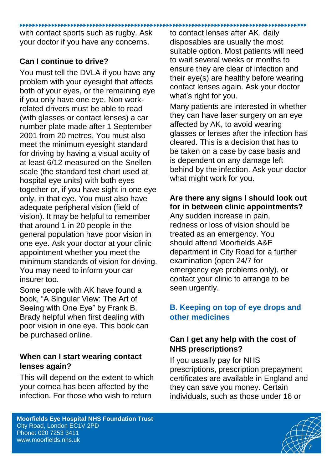with contact sports such as rugby. Ask your doctor if you have any concerns.

# **Can I continue to drive?**

You must tell the DVLA if you have any problem with your eyesight that affects both of your eyes, or the remaining eye if you only have one eye. Non workrelated drivers must be able to read (with glasses or contact lenses) a car number plate made after 1 September 2001 from 20 metres. You must also meet the minimum eyesight standard for driving by having a visual acuity of at least 6/12 measured on the Snellen scale (the standard test chart used at hospital eye units) with both eyes together or, if you have sight in one eye only, in that eye. You must also have adequate peripheral vision (field of vision). It may be helpful to remember that around 1 in 20 people in the general population have poor vision in one eye. Ask your doctor at your clinic appointment whether you meet the minimum standards of vision for driving. You may need to inform your car insurer too.

Some people with AK have found a book, "A Singular View: The Art of Seeing with One Eye" by Frank B. Brady helpful when first dealing with poor vision in one eye. This book can be purchased online.

# **When can I start wearing contact lenses again?**

This will depend on the extent to which your cornea has been affected by the infection. For those who wish to return

to contact lenses after AK, daily disposables are usually the most suitable option. Most patients will need to wait several weeks or months to ensure they are clear of infection and their eye(s) are healthy before wearing contact lenses again. Ask your doctor what's right for you.

Many patients are interested in whether they can have laser surgery on an eye affected by AK, to avoid wearing glasses or lenses after the infection has cleared. This is a decision that has to be taken on a case by case basis and is dependent on any damage left behind by the infection. Ask your doctor what might work for you.

# **Are there any signs I should look out for in between clinic appointments?**

Any sudden increase in pain, redness or loss of vision should be treated as an emergency. You should attend Moorfields A&E department in City Road for a further examination (open 24/7 for emergency eye problems only), or contact your clinic to arrange to be seen urgently.

# **B. Keeping on top of eye drops and other medicines**

# **Can I get any help with the cost of NHS prescriptions?**

If you usually pay for NHS prescriptions, prescription prepayment certificates are available in England and they can save you money. Certain individuals, such as those under 16 or

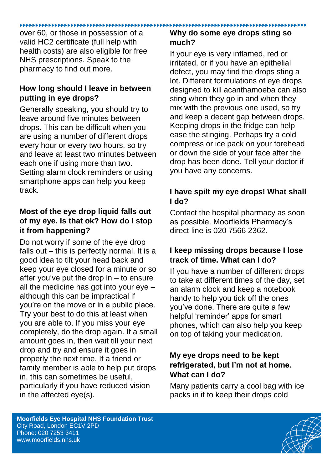over 60, or those in possession of a valid HC2 certificate (full help with health costs) are also eligible for free NHS prescriptions. Speak to the pharmacy to find out more.

#### **How long should I leave in between putting in eye drops?**

Generally speaking, you should try to leave around five minutes between drops. This can be difficult when you are using a number of different drops every hour or every two hours, so try and leave at least two minutes between each one if using more than two. Setting alarm clock reminders or using smartphone apps can help you keep track.

# **Most of the eye drop liquid falls out of my eye. Is that ok? How do I stop it from happening?**

Do not worry if some of the eye drop falls out – this is perfectly normal. It is a good idea to tilt your head back and keep your eye closed for a minute or so after you've put the drop in – to ensure all the medicine has got into your eye – although this can be impractical if you're on the move or in a public place. Try your best to do this at least when you are able to. If you miss your eye completely, do the drop again. If a small amount goes in, then wait till your next drop and try and ensure it goes in properly the next time. If a friend or family member is able to help put drops in, this can sometimes be useful, particularly if you have reduced vision in the affected eye(s).

# **Why do some eye drops sting so much?**

If your eye is very inflamed, red or irritated, or if you have an epithelial defect, you may find the drops sting a lot. Different formulations of eye drops designed to kill acanthamoeba can also sting when they go in and when they mix with the previous one used, so try and keep a decent gap between drops. Keeping drops in the fridge can help ease the stinging. Perhaps try a cold compress or ice pack on your forehead or down the side of your face after the drop has been done. Tell your doctor if you have any concerns.

# **I have spilt my eye drops! What shall I do?**

Contact the hospital pharmacy as soon as possible. Moorfields Pharmacy's direct line is 020 7566 2362.

# **I keep missing drops because I lose track of time. What can I do?**

If you have a number of different drops to take at different times of the day, set an alarm clock and keep a notebook handy to help you tick off the ones you've done. There are quite a few helpful 'reminder' apps for smart phones, which can also help you keep on top of taking your medication.

# **My eye drops need to be kept refrigerated, but I'm not at home. What can I do?**

Many patients carry a cool bag with ice packs in it to keep their drops cold

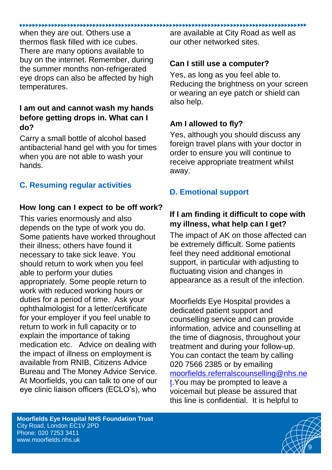when they are out. Others use a thermos flask filled with ice cubes. There are many options available to buy on the internet. Remember, during the summer months non-refrigerated eye drops can also be affected by high temperatures.

## **I am out and cannot wash my hands before getting drops in. What can I do?**

Carry a small bottle of alcohol based antibacterial hand gel with you for times when you are not able to wash your hands.

# **C. Resuming regular activities**

#### **How long can I expect to be off work?**

This varies enormously and also depends on the type of work you do. Some patients have worked throughout their illness; others have found it necessary to take sick leave. You should return to work when you feel able to perform your duties appropriately. Some people return to work with reduced working hours or duties for a period of time. Ask your ophthalmologist for a letter/certificate for your employer if you feel unable to return to work in full capacity or to explain the importance of taking medication etc. Advice on dealing with the impact of illness on employment is available from RNIB, Citizens Advice Bureau and The Money Advice Service. At Moorfields, you can talk to one of our eye clinic liaison officers (ECLO's), who

are available at City Road as well as our other networked sites.

## **Can I still use a computer?**

Yes, as long as you feel able to. Reducing the brightness on your screen or wearing an eye patch or shield can also help.

#### **Am I allowed to fly?**

Yes, although you should discuss any foreign travel plans with your doctor in order to ensure you will continue to receive appropriate treatment whilst away.

# **D. Emotional support**

# **If I am finding it difficult to cope with my illness, what help can I get?**

The impact of AK on those affected can be extremely difficult. Some patients feel they need additional emotional support, in particular with adjusting to fluctuating vision and changes in appearance as a result of the infection.

Moorfields Eye Hospital provides a dedicated patient support and counselling service and can provide information, advice and counselling at the time of diagnosis, throughout your treatment and during your follow-up. You can contact the team by calling 020 7566 2385 or by emailing [moorfields.referralscounselling@nhs.ne](mailto:moorfields.referralscounselling@nhs.net) [t.](mailto:moorfields.referralscounselling@nhs.net)You may be prompted to leave a voicemail but please be assured that this line is confidential. It is helpful to

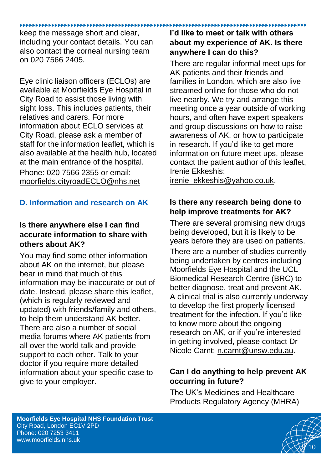#### keep the message short and clear,

including your contact details. You can also contact the corneal nursing team on 020 7566 2405.

Eye clinic liaison officers (ECLOs) are available at Moorfields Eye Hospital in City Road to assist those living with sight loss. This includes patients, their relatives and carers. For more information about ECLO services at City Road, please ask a member of staff for the information leaflet, which is also available at the health hub, located at the main entrance of the hospital. Phone: 020 7566 2355 or email:

[moorfields.cityroadECLO@nhs.net](mailto:moorfields.cityroadECLO@nhs.net)

# **D. Information and research on AK**

# **Is there anywhere else I can find accurate information to share with others about AK?**

You may find some other information about AK on the internet, but please bear in mind that much of this information may be inaccurate or out of date. Instead, please share this leaflet, (which is regularly reviewed and updated) with friends/family and others, to help them understand AK better. There are also a number of social media forums where AK patients from all over the world talk and provide support to each other. Talk to your doctor if you require more detailed information about your specific case to give to your employer.

# **I'd like to meet or talk with others about my experience of AK. Is there anywhere I can do this?**

There are regular informal meet ups for AK patients and their friends and families in London, which are also live streamed online for those who do not live nearby. We try and arrange this meeting once a year outside of working hours, and often have expert speakers and group discussions on how to raise awareness of AK, or how to participate in research. If you'd like to get more information on future meet ups, please contact the patient author of this leaflet, Irenie Ekkeshis:

[irenie\\_ekkeshis@yahoo.co.uk.](mailto:irenie_ekkeshis@yahoo.co.uk)

# **Is there any research being done to help improve treatments for AK?**

There are several promising new drugs being developed, but it is likely to be years before they are used on patients.

There are a number of studies currently being undertaken by centres including Moorfields Eye Hospital and the UCL Biomedical Research Centre (BRC) to better diagnose, treat and prevent AK. A clinical trial is also currently underway to develop the first properly licensed treatment for the infection. If you'd like to know more about the ongoing research on AK, or if you're interested in getting involved, please contact Dr Nicole Carnt: [n.carnt@unsw.edu.au.](mailto:n.carnt@unsw.edu.au)

# **Can I do anything to help prevent AK occurring in future?**

The UK's Medicines and Healthcare Products Regulatory Agency (MHRA)